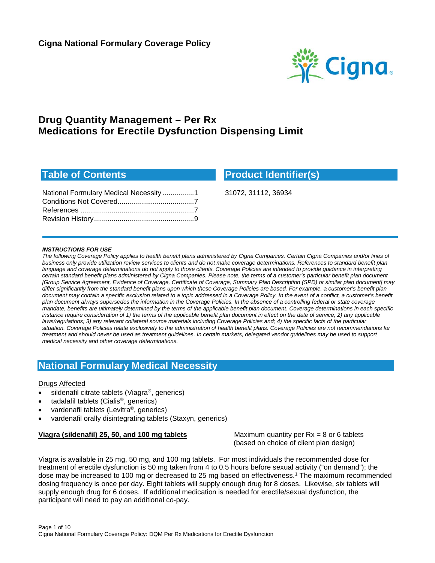

# **Drug Quantity Management – Per Rx Medications for Erectile Dysfunction Dispensing Limit**

## **Table of Contents**

| National Formulary Medical Necessity 1 |  |
|----------------------------------------|--|
|                                        |  |
|                                        |  |
|                                        |  |
|                                        |  |

**Product Identifier(s)**

31072, 31112, 36934

#### *INSTRUCTIONS FOR USE*

*The following Coverage Policy applies to health benefit plans administered by Cigna Companies. Certain Cigna Companies and/or lines of business only provide utilization review services to clients and do not make coverage determinations. References to standard benefit plan language and coverage determinations do not apply to those clients. Coverage Policies are intended to provide guidance in interpreting certain standard benefit plans administered by Cigna Companies. Please note, the terms of a customer's particular benefit plan document [Group Service Agreement, Evidence of Coverage, Certificate of Coverage, Summary Plan Description (SPD) or similar plan document] may differ significantly from the standard benefit plans upon which these Coverage Policies are based. For example, a customer's benefit plan*  document may contain a specific exclusion related to a topic addressed in a Coverage Policy. In the event of a conflict, a customer's benefit *plan document always supersedes the information in the Coverage Policies. In the absence of a controlling federal or state coverage mandate, benefits are ultimately determined by the terms of the applicable benefit plan document. Coverage determinations in each specific instance require consideration of 1) the terms of the applicable benefit plan document in effect on the date of service; 2) any applicable laws/regulations; 3) any relevant collateral source materials including Coverage Policies and; 4) the specific facts of the particular situation. Coverage Policies relate exclusively to the administration of health benefit plans. Coverage Policies are not recommendations for treatment and should never be used as treatment guidelines. In certain markets, delegated vendor guidelines may be used to support medical necessity and other coverage determinations.*

## <span id="page-0-0"></span>**National Formulary Medical Necessity**

#### Drugs Affected

- [sildenafil citrate tablets \(Viagra](#page-0-1)®, generics)
- [tadalafil tablets \(Cialis](#page-2-0)®, generics)
- [vardenafil tablets \(Levitra®, generics\)](#page-4-0)
- [vardenafil orally disintegrating tablets \(Staxyn, generics\)](#page-4-1)

#### <span id="page-0-1"></span>**Viagra (sildenafil) 25, 50, and 100 mg tablets** Maximum quantity per Rx = 8 or 6 tablets

(based on choice of client plan design)

Viagra is available in 25 mg, 50 mg, and 100 mg tablets. For most individuals the recommended dose for treatment of erectile dysfunction is 50 mg taken from 4 to 0.5 hours before sexual activity ("on demand"); the dose may be increased to 100 mg or decreased to 25 mg based on effectiveness.1 The maximum recommended dosing frequency is once per day. Eight tablets will supply enough drug for 8 doses. Likewise, six tablets will supply enough drug for 6 doses. If additional medication is needed for erectile/sexual dysfunction, the participant will need to pay an additional co-pay.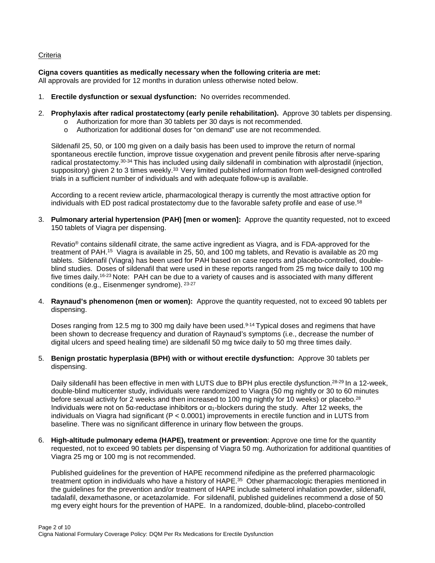#### **Criteria**

#### **Cigna covers quantities as medically necessary when the following criteria are met:**

All approvals are provided for 12 months in duration unless otherwise noted below.

- 1. **Erectile dysfunction or sexual dysfunction:** No overrides recommended.
- 2. **Prophylaxis after radical prostatectomy (early penile rehabilitation).** Approve 30 tablets per dispensing.
	- o Authorization for more than 30 tablets per 30 days is not recommended.
	- o Authorization for additional doses for "on demand" use are not recommended.

Sildenafil 25, 50, or 100 mg given on a daily basis has been used to improve the return of normal spontaneous erectile function, improve tissue oxygenation and prevent penile fibrosis after nerve-sparing radical prostatectomy.30-34 This has included using daily sildenafil in combination with alprostadil (injection, suppository) given 2 to 3 times weekly.<sup>33</sup> Very limited published information from well-designed controlled trials in a sufficient number of individuals and with adequate follow-up is available.

According to a recent review article, pharmacological therapy is currently the most attractive option for individuals with ED post radical prostatectomy due to the favorable safety profile and ease of use.<sup>58</sup>

3. **Pulmonary arterial hypertension (PAH) [men or women]:** Approve the quantity requested, not to exceed 150 tablets of Viagra per dispensing.

Revatio® contains sildenafil citrate, the same active ingredient as Viagra, and is FDA-approved for the treatment of PAH.15 Viagra is available in 25, 50, and 100 mg tablets, and Revatio is available as 20 mg tablets. Sildenafil (Viagra) has been used for PAH based on case reports and placebo-controlled, doubleblind studies. Doses of sildenafil that were used in these reports ranged from 25 mg twice daily to 100 mg five times daily.16-23 Note: PAH can be due to a variety of causes and is associated with many different conditions (e.g., Eisenmenger syndrome). 23-27

4. **Raynaud's phenomenon (men or women):** Approve the quantity requested, not to exceed 90 tablets per dispensing.

Doses ranging from 12.5 mg to 300 mg daily have been used.<sup>9-14</sup> Typical doses and regimens that have been shown to decrease frequency and duration of Raynaud's symptoms (i.e., decrease the number of digital ulcers and speed healing time) are sildenafil 50 mg twice daily to 50 mg three times daily.

5. **Benign prostatic hyperplasia (BPH) with or without erectile dysfunction:** Approve 30 tablets per dispensing.

Daily sildenafil has been effective in men with LUTS due to BPH plus erectile dysfunction.<sup>28-29</sup> In a 12-week, double-blind multicenter study, individuals were randomized to Viagra (50 mg nightly or 30 to 60 minutes before sexual activity for 2 weeks and then increased to 100 mg nightly for 10 weeks) or placebo.<sup>28</sup> Individuals were not on 5α-reductase inhibitors or  $α_1$ -blockers during the study. After 12 weeks, the individuals on Viagra had significant (P < 0.0001) improvements in erectile function and in LUTS from baseline. There was no significant difference in urinary flow between the groups.

6. **High-altitude pulmonary edema (HAPE), treatment or prevention**: Approve one time for the quantity requested, not to exceed 90 tablets per dispensing of Viagra 50 mg. Authorization for additional quantities of Viagra 25 mg or 100 mg is not recommended.

Published guidelines for the prevention of HAPE recommend nifedipine as the preferred pharmacologic treatment option in individuals who have a history of HAPE.35 Other pharmacologic therapies mentioned in the guidelines for the prevention and/or treatment of HAPE include salmeterol inhalation powder, sildenafil, tadalafil, dexamethasone, or acetazolamide. For sildenafil, published guidelines recommend a dose of 50 mg every eight hours for the prevention of HAPE. In a randomized, double-blind, placebo-controlled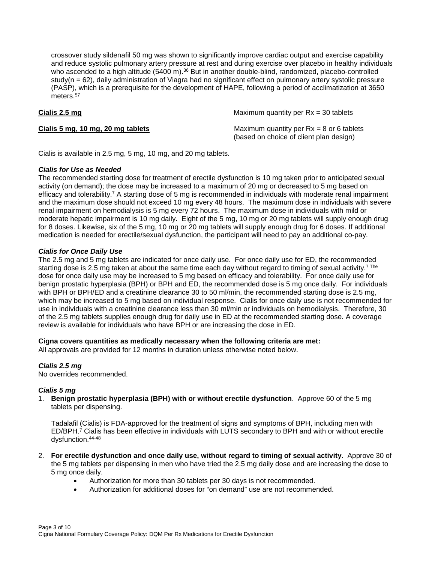crossover study sildenafil 50 mg was shown to significantly improve cardiac output and exercise capability and reduce systolic pulmonary artery pressure at rest and during exercise over placebo in healthy individuals who ascended to a high altitude (5400 m).<sup>36</sup> But in another double-blind, randomized, placebo-controlled study(n = 62), daily administration of Viagra had no significant effect on pulmonary artery systolic pressure (PASP), which is a prerequisite for the development of HAPE, following a period of acclimatization at 3650 meters.<sup>57</sup>

<span id="page-2-0"></span>**Cialis 2.5 mg** Maximum quantity per Rx = 30 tablets

**Cialis 5 mg, 10 mg, 20 mg tablets** Maximum quantity per Rx = 8 or 6 tablets (based on choice of client plan design)

Cialis is available in 2.5 mg, 5 mg, 10 mg, and 20 mg tablets.

#### *Cialis for Use as Needed*

The recommended starting dose for treatment of erectile dysfunction is 10 mg taken prior to anticipated sexual activity (on demand); the dose may be increased to a maximum of 20 mg or decreased to 5 mg based on efficacy and tolerability.7 A starting dose of 5 mg is recommended in individuals with moderate renal impairment and the maximum dose should not exceed 10 mg every 48 hours. The maximum dose in individuals with severe renal impairment on hemodialysis is 5 mg every 72 hours. The maximum dose in individuals with mild or moderate hepatic impairment is 10 mg daily. Eight of the 5 mg, 10 mg or 20 mg tablets will supply enough drug for 8 doses. Likewise, six of the 5 mg, 10 mg or 20 mg tablets will supply enough drug for 6 doses. If additional medication is needed for erectile/sexual dysfunction, the participant will need to pay an additional co-pay.

#### *Cialis for Once Daily Use*

The 2.5 mg and 5 mg tablets are indicated for once daily use. For once daily use for ED, the recommended starting dose is 2.5 mg taken at about the same time each day without regard to timing of sexual activity.<sup>7 The</sup> dose for once daily use may be increased to 5 mg based on efficacy and tolerability. For once daily use for benign prostatic hyperplasia (BPH) or BPH and ED, the recommended dose is 5 mg once daily. For individuals with BPH or BPH/ED and a creatinine clearance 30 to 50 ml/min, the recommended starting dose is 2.5 mg, which may be increased to 5 mg based on individual response. Cialis for once daily use is not recommended for use in individuals with a creatinine clearance less than 30 ml/min or individuals on hemodialysis. Therefore, 30 of the 2.5 mg tablets supplies enough drug for daily use in ED at the recommended starting dose. A coverage review is available for individuals who have BPH or are increasing the dose in ED.

#### **Cigna covers quantities as medically necessary when the following criteria are met:**

All approvals are provided for 12 months in duration unless otherwise noted below.

#### *Cialis 2.5 mg*

No overrides recommended.

#### *Cialis 5 mg*

1. **Benign prostatic hyperplasia (BPH) with or without erectile dysfunction**. Approve 60 of the 5 mg tablets per dispensing.

Tadalafil (Cialis) is FDA-approved for the treatment of signs and symptoms of BPH, including men with ED/BPH.7 Cialis has been effective in individuals with LUTS secondary to BPH and with or without erectile dysfunction.44-48

- 2. **For erectile dysfunction and once daily use, without regard to timing of sexual activity**. Approve 30 of the 5 mg tablets per dispensing in men who have tried the 2.5 mg daily dose and are increasing the dose to 5 mg once daily.
	- Authorization for more than 30 tablets per 30 days is not recommended.
	- Authorization for additional doses for "on demand" use are not recommended.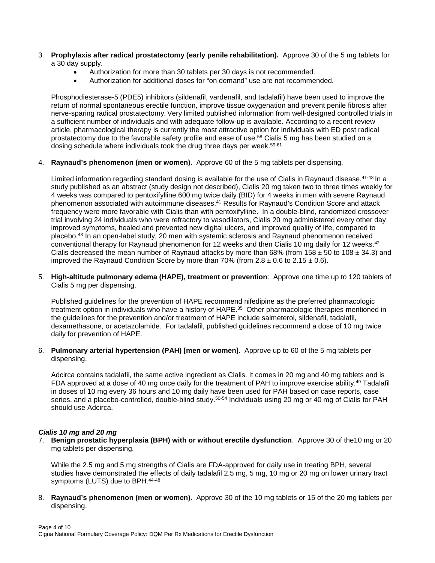- 3. **Prophylaxis after radical prostatectomy (early penile rehabilitation).** Approve 30 of the 5 mg tablets for a 30 day supply.
	- Authorization for more than 30 tablets per 30 days is not recommended.
	- Authorization for additional doses for "on demand" use are not recommended.

Phosphodiesterase-5 (PDE5) inhibitors (sildenafil, vardenafil, and tadalafil) have been used to improve the return of normal spontaneous erectile function, improve tissue oxygenation and prevent penile fibrosis after nerve-sparing radical prostatectomy. Very limited published information from well-designed controlled trials in a sufficient number of individuals and with adequate follow-up is available. According to a recent review article, pharmacological therapy is currently the most attractive option for individuals with ED post radical prostatectomy due to the favorable safety profile and ease of use.58 Cialis 5 mg has been studied on a dosing schedule where individuals took the drug three days per week.<sup>59-61</sup>

4. **Raynaud's phenomenon (men or women).** Approve 60 of the 5 mg tablets per dispensing.

Limited information regarding standard dosing is available for the use of Cialis in Raynaud disease.<sup>41-43</sup> In a study published as an abstract (study design not described), Cialis 20 mg taken two to three times weekly for 4 weeks was compared to pentoxifylline 600 mg twice daily (BID) for 4 weeks in men with severe Raynaud phenomenon associated with autoimmune diseases.41 Results for Raynaud's Condition Score and attack frequency were more favorable with Cialis than with pentoxifylline. In a double-blind, randomized crossover trial involving 24 individuals who were refractory to vasodilators, Cialis 20 mg administered every other day improved symptoms, healed and prevented new digital ulcers, and improved quality of life, compared to placebo.43 In an open-label study, 20 men with systemic sclerosis and Raynaud phenomenon received conventional therapy for Raynaud phenomenon for 12 weeks and then Cialis 10 mg daily for 12 weeks.42 Cialis decreased the mean number of Raynaud attacks by more than 68% (from 158  $\pm$  50 to 108  $\pm$  34.3) and improved the Raynaud Condition Score by more than 70% (from  $2.8 \pm 0.6$  to  $2.15 \pm 0.6$ ).

5. **High-altitude pulmonary edema (HAPE), treatment or prevention**: Approve one time up to 120 tablets of Cialis 5 mg per dispensing.

Published guidelines for the prevention of HAPE recommend nifedipine as the preferred pharmacologic treatment option in individuals who have a history of HAPE.<sup>35</sup> Other pharmacologic therapies mentioned in the guidelines for the prevention and/or treatment of HAPE include salmeterol, sildenafil, tadalafil, dexamethasone, or acetazolamide. For tadalafil, published guidelines recommend a dose of 10 mg twice daily for prevention of HAPE.

6. **Pulmonary arterial hypertension (PAH) [men or women].** Approve up to 60 of the 5 mg tablets per dispensing.

Adcirca contains tadalafil, the same active ingredient as Cialis. It comes in 20 mg and 40 mg tablets and is FDA approved at a dose of 40 mg once daily for the treatment of PAH to improve exercise ability.<sup>49</sup> Tadalafil in doses of 10 mg every 36 hours and 10 mg daily have been used for PAH based on case reports, case series, and a placebo-controlled, double-blind study.<sup>50-54</sup> Individuals using 20 mg or 40 mg of Cialis for PAH should use Adcirca.

### *Cialis 10 mg and 20 mg*

7. **Benign prostatic hyperplasia (BPH) with or without erectile dysfunction**. Approve 30 of the10 mg or 20 mg tablets per dispensing.

While the 2.5 mg and 5 mg strengths of Cialis are FDA-approved for daily use in treating BPH, several studies have demonstrated the effects of daily tadalafil 2.5 mg, 5 mg, 10 mg or 20 mg on lower urinary tract symptoms (LUTS) due to BPH.<sup>44-48</sup>

8. **Raynaud's phenomenon (men or women).** Approve 30 of the 10 mg tablets or 15 of the 20 mg tablets per dispensing.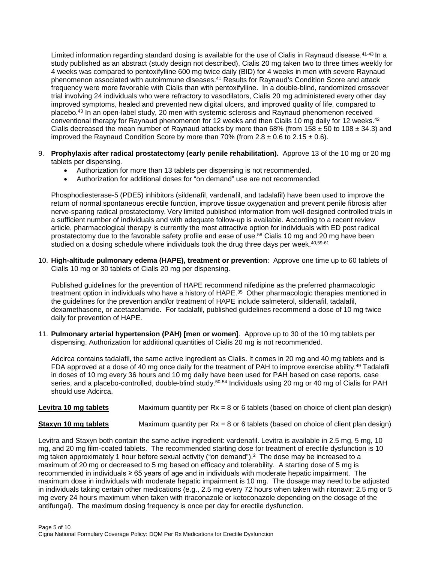Limited information regarding standard dosing is available for the use of Cialis in Raynaud disease.<sup>41-43</sup> In a study published as an abstract (study design not described), Cialis 20 mg taken two to three times weekly for 4 weeks was compared to pentoxifylline 600 mg twice daily (BID) for 4 weeks in men with severe Raynaud phenomenon associated with autoimmune diseases.41 Results for Raynaud's Condition Score and attack frequency were more favorable with Cialis than with pentoxifylline. In a double-blind, randomized crossover trial involving 24 individuals who were refractory to vasodilators, Cialis 20 mg administered every other day improved symptoms, healed and prevented new digital ulcers, and improved quality of life, compared to placebo.43 In an open-label study, 20 men with systemic sclerosis and Raynaud phenomenon received conventional therapy for Raynaud phenomenon for 12 weeks and then Cialis 10 mg daily for 12 weeks.<sup>42</sup> Cialis decreased the mean number of Raynaud attacks by more than 68% (from 158  $\pm$  50 to 108  $\pm$  34.3) and improved the Raynaud Condition Score by more than 70% (from  $2.8 \pm 0.6$  to  $2.15 \pm 0.6$ ).

- 9. **Prophylaxis after radical prostatectomy (early penile rehabilitation).** Approve 13 of the 10 mg or 20 mg tablets per dispensing.
	- Authorization for more than 13 tablets per dispensing is not recommended.
	- Authorization for additional doses for "on demand" use are not recommended.

Phosphodiesterase-5 (PDE5) inhibitors (sildenafil, vardenafil, and tadalafil) have been used to improve the return of normal spontaneous erectile function, improve tissue oxygenation and prevent penile fibrosis after nerve-sparing radical prostatectomy. Very limited published information from well-designed controlled trials in a sufficient number of individuals and with adequate follow-up is available. According to a recent review article, pharmacological therapy is currently the most attractive option for individuals with ED post radical prostatectomy due to the favorable safety profile and ease of use.58 Cialis 10 mg and 20 mg have been studied on a dosing schedule where individuals took the drug three days per week.<sup>40,59-61</sup>

10. **High-altitude pulmonary edema (HAPE), treatment or prevention**: Approve one time up to 60 tablets of Cialis 10 mg or 30 tablets of Cialis 20 mg per dispensing.

Published guidelines for the prevention of HAPE recommend nifedipine as the preferred pharmacologic treatment option in individuals who have a history of HAPE.<sup>35</sup> Other pharmacologic therapies mentioned in the guidelines for the prevention and/or treatment of HAPE include salmeterol, sildenafil, tadalafil, dexamethasone, or acetazolamide. For tadalafil, published guidelines recommend a dose of 10 mg twice daily for prevention of HAPE.

11. **Pulmonary arterial hypertension (PAH) [men or women]**. Approve up to 30 of the 10 mg tablets per dispensing. Authorization for additional quantities of Cialis 20 mg is not recommended.

Adcirca contains tadalafil, the same active ingredient as Cialis. It comes in 20 mg and 40 mg tablets and is FDA approved at a dose of 40 mg once daily for the treatment of PAH to improve exercise ability.<sup>49</sup> Tadalafil in doses of 10 mg every 36 hours and 10 mg daily have been used for PAH based on case reports, case series, and a placebo-controlled, double-blind study.<sup>50-54</sup> Individuals using 20 mg or 40 mg of Cialis for PAH should use Adcirca.

<span id="page-4-0"></span>**Levitra 10 mg tablets** Maximum quantity per Rx = 8 or 6 tablets (based on choice of client plan design)

<span id="page-4-1"></span>**Staxyn 10 mg tablets** Maximum quantity per Rx = 8 or 6 tablets (based on choice of client plan design)

Levitra and Staxyn both contain the same active ingredient: vardenafil. Levitra is available in 2.5 mg, 5 mg, 10 mg, and 20 mg film-coated tablets. The recommended starting dose for treatment of erectile dysfunction is 10 mg taken approximately 1 hour before sexual activity ("on demand").<sup>2</sup> The dose may be increased to a maximum of 20 mg or decreased to 5 mg based on efficacy and tolerability. A starting dose of 5 mg is recommended in individuals ≥ 65 years of age and in individuals with moderate hepatic impairment. The maximum dose in individuals with moderate hepatic impairment is 10 mg. The dosage may need to be adjusted in individuals taking certain other medications (e.g., 2.5 mg every 72 hours when taken with ritonavir; 2.5 mg or 5 mg every 24 hours maximum when taken with itraconazole or ketoconazole depending on the dosage of the antifungal). The maximum dosing frequency is once per day for erectile dysfunction.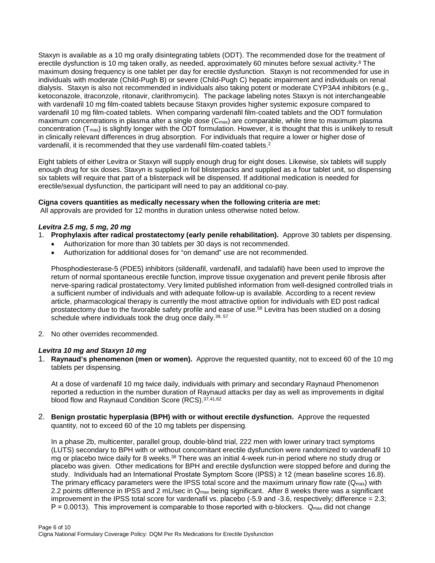Staxyn is available as a 10 mg orally disintegrating tablets (ODT). The recommended dose for the treatment of erectile dysfunction is 10 mg taken orally, as needed, approximately 60 minutes before sexual activity.<sup>8</sup> The maximum dosing frequency is one tablet per day for erectile dysfunction. Staxyn is not recommended for use in individuals with moderate (Child-Pugh B) or severe (Child-Pugh C) hepatic impairment and individuals on renal dialysis. Staxyn is also not recommended in individuals also taking potent or moderate CYP3A4 inhibitors (e.g., ketoconazole, itraconzole, ritonavir, clarithromycin). The package labeling notes Staxyn is not interchangeable with vardenafil 10 mg film-coated tablets because Staxyn provides higher systemic exposure compared to vardenafil 10 mg film-coated tablets. When comparing vardenafil film-coated tablets and the ODT formulation maximum concentrations in plasma after a single dose  $(C_{\text{max}})$  are comparable, while time to maximum plasma concentration  $(T_{max})$  is slightly longer with the ODT formulation. However, it is thought that this is unlikely to result in clinically relevant differences in drug absorption. For individuals that require a lower or higher dose of vardenafil, it is recommended that they use vardenafil film-coated tablets.<sup>2</sup>

Eight tablets of either Levitra or Staxyn will supply enough drug for eight doses. Likewise, six tablets will supply enough drug for six doses. Staxyn is supplied in foil blisterpacks and supplied as a four tablet unit, so dispensing six tablets will require that part of a blisterpack will be dispensed. If additional medication is needed for erectile/sexual dysfunction, the participant will need to pay an additional co-pay.

#### **Cigna covers quantities as medically necessary when the following criteria are met:**

All approvals are provided for 12 months in duration unless otherwise noted below.

#### *Levitra 2.5 mg, 5 mg, 20 mg*

- 1. **Prophylaxis after radical prostatectomy (early penile rehabilitation).** Approve 30 tablets per dispensing.
	- Authorization for more than 30 tablets per 30 days is not recommended.
	- Authorization for additional doses for "on demand" use are not recommended.

Phosphodiesterase-5 (PDE5) inhibitors (sildenafil, vardenafil, and tadalafil) have been used to improve the return of normal spontaneous erectile function, improve tissue oxygenation and prevent penile fibrosis after nerve-sparing radical prostatectomy. Very limited published information from well-designed controlled trials in a sufficient number of individuals and with adequate follow-up is available. According to a recent review article, pharmacological therapy is currently the most attractive option for individuals with ED post radical prostatectomy due to the favorable safety profile and ease of use.58 Levitra has been studied on a dosing schedule where individuals took the drug once daily.<sup>39, 57</sup>

2. No other overrides recommended.

#### *Levitra 10 mg and Staxyn 10 mg*

1. **Raynaud's phenomenon (men or women).** Approve the requested quantity, not to exceed 60 of the 10 mg tablets per dispensing.

At a dose of vardenafil 10 mg twice daily, individuals with primary and secondary Raynaud Phenomenon reported a reduction in the number duration of Raynaud attacks per day as well as improvements in digital blood flow and Raynaud Condition Score (RCS).37,41,62

2. **Benign prostatic hyperplasia (BPH) with or without erectile dysfunction.** Approve the requested quantity, not to exceed 60 of the 10 mg tablets per dispensing.

In a phase 2b, multicenter, parallel group, double-blind trial, 222 men with lower urinary tract symptoms (LUTS) secondary to BPH with or without concomitant erectile dysfunction were randomized to vardenafil 10 mg or placebo twice daily for 8 weeks.<sup>38</sup> There was an initial 4-week run-in period where no study drug or placebo was given. Other medications for BPH and erectile dysfunction were stopped before and during the study. Individuals had an International Prostate Symptom Score (IPSS) ≥ 12 (mean baseline scores 16.8). The primary efficacy parameters were the IPSS total score and the maximum urinary flow rate  $(Q<sub>max</sub>)$  with 2.2 points difference in IPSS and 2 mL/sec in  $Q_{\text{max}}$  being significant. After 8 weeks there was a significant improvement in the IPSS total score for vardenafil vs. placebo (-5.9 and -3.6, respectively; difference = 2.3;  $P = 0.0013$ ). This improvement is comparable to those reported with α-blockers. Q<sub>max</sub> did not change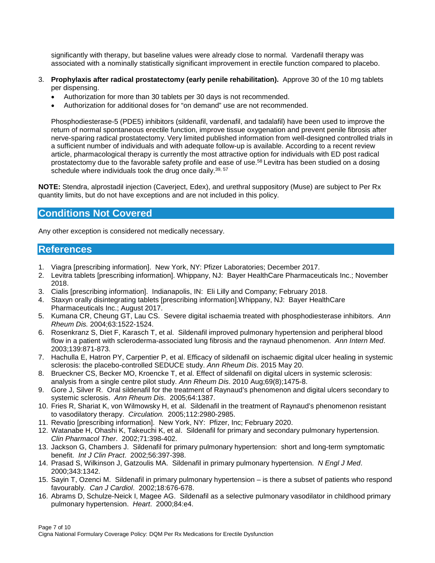significantly with therapy, but baseline values were already close to normal. Vardenafil therapy was associated with a nominally statistically significant improvement in erectile function compared to placebo.

- 3. **Prophylaxis after radical prostatectomy (early penile rehabilitation).** Approve 30 of the 10 mg tablets per dispensing.
	- Authorization for more than 30 tablets per 30 days is not recommended.
	- Authorization for additional doses for "on demand" use are not recommended.

Phosphodiesterase-5 (PDE5) inhibitors (sildenafil, vardenafil, and tadalafil) have been used to improve the return of normal spontaneous erectile function, improve tissue oxygenation and prevent penile fibrosis after nerve-sparing radical prostatectomy. Very limited published information from well-designed controlled trials in a sufficient number of individuals and with adequate follow-up is available. According to a recent review article, pharmacological therapy is currently the most attractive option for individuals with ED post radical prostatectomy due to the favorable safety profile and ease of use.58 Levitra has been studied on a dosing schedule where individuals took the drug once daily.<sup>39, 57</sup>

**NOTE:** Stendra, alprostadil injection (Caverject, Edex), and urethral suppository (Muse) are subject to Per Rx quantity limits, but do not have exceptions and are not included in this policy.

## <span id="page-6-0"></span>**Conditions Not Covered**

Any other exception is considered not medically necessary.

## <span id="page-6-1"></span>**References**

- 1. Viagra [prescribing information]. New York, NY: Pfizer Laboratories; December 2017.
- 2. Levitra tablets [prescribing information]. Whippany, NJ: Bayer HealthCare Pharmaceuticals Inc.; November 2018.
- 3. Cialis [prescribing information]. Indianapolis, IN: Eli Lilly and Company; February 2018.
- 4. Staxyn orally disintegrating tablets [prescribing information].Whippany, NJ: Bayer HealthCare Pharmaceuticals Inc.; August 2017.
- 5. Kumana CR, Cheung GT, Lau CS. Severe digital ischaemia treated with phosphodiesterase inhibitors. *Ann Rheum Dis.* 2004;63:1522-1524.
- 6. Rosenkranz S, Diet F, Karasch T, et al. Sildenafil improved pulmonary hypertension and peripheral blood flow in a patient with scleroderma-associated lung fibrosis and the raynaud phenomenon. *Ann Intern Med*. 2003;139:871-873.
- 7. Hachulla E, Hatron PY, Carpentier P, et al. Efficacy of sildenafil on ischaemic digital ulcer healing in systemic sclerosis: the placebo-controlled SEDUCE study. *Ann Rheum Dis*. 2015 May 20.
- 8. Brueckner CS, Becker MO, Kroencke T, et al. Effect of sildenafil on digital ulcers in systemic sclerosis: analysis from a single centre pilot study. *Ann Rheum Dis*. 2010 Aug;69(8);1475-8.
- 9. Gore J, Silver R. Oral sildenafil for the treatment of Raynaud's phenomenon and digital ulcers secondary to systemic sclerosis. *Ann Rheum Dis*. 2005;64:1387.
- 10. Fries R, Shariat K, von Wilmowsky H, et al. Sildenafil in the treatment of Raynaud's phenomenon resistant to vasodilatory therapy. *Circulation.* 2005;112:2980-2985.
- 11. Revatio [prescribing information]. New York, NY: Pfizer, Inc; February 2020.
- 12. Watanabe H, Ohashi K, Takeuchi K, et al. Sildenafil for primary and secondary pulmonary hypertension*. Clin Pharmacol Ther*. 2002;71:398-402.
- 13. Jackson G, Chambers J. Sildenafil for primary pulmonary hypertension: short and long-term symptomatic benefit. *Int J Clin Pract*. 2002;56:397-398.
- 14. Prasad S, Wilkinson J, Gatzoulis MA. Sildenafil in primary pulmonary hypertension. *N Engl J Med*. 2000;343:1342.
- 15. Sayin T, Ozenci M. Sildenafil in primary pulmonary hypertension is there a subset of patients who respond favourably. *Can J Cardiol*. 2002;18:676-678.
- 16. Abrams D, Schulze-Neick I, Magee AG. Sildenafil as a selective pulmonary vasodilator in childhood primary pulmonary hypertension. *Heart*. 2000;84:e4.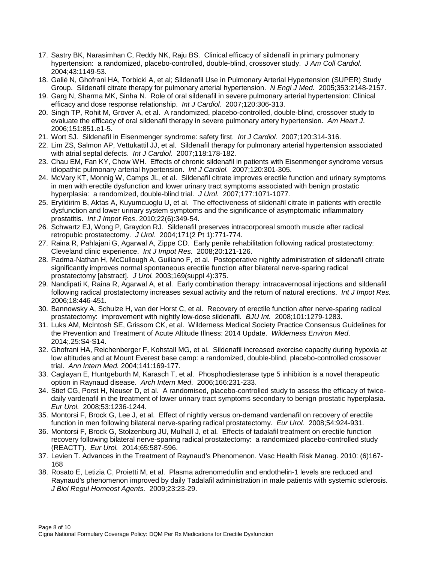- 17. Sastry BK, Narasimhan C, Reddy NK, Raju BS. Clinical efficacy of sildenafil in primary pulmonary hypertension: a randomized, placebo-controlled, double-blind, crossover study. *J Am Coll Cardiol*. 2004;43:1149-53.
- 18. Galié N, Ghofrani HA, Torbicki A, et al; Sildenafil Use in Pulmonary Arterial Hypertension (SUPER) Study Group. Sildenafil citrate therapy for pulmonary arterial hypertension. *N Engl J Med.* 2005;353:2148-2157.
- 19. Garg N, Sharma MK, Sinha N. Role of oral sildenafil in severe pulmonary arterial hypertension: Clinical efficacy and dose response relationship. *Int J Cardiol.* 2007;120:306-313.
- 20. Singh TP, Rohit M, Grover A, et al. A randomized, placebo-controlled, double-blind, crossover study to evaluate the efficacy of oral sildenafil therapy in severe pulmonary artery hypertension. *Am Heart J*. 2006;151:851.e1-5.
- 21. Wort SJ. Sildenafil in Eisenmenger syndrome: safety first. *Int J Cardiol.* 2007;120:314-316.
- 22. Lim ZS, Salmon AP, Vettukattil JJ, et al. Sildenafil therapy for pulmonary arterial hypertension associated with atrial septal defects. *Int J Cardiol.* 2007;118:178-182.
- 23. Chau EM, Fan KY, Chow WH. Effects of chronic sildenafil in patients with Eisenmenger syndrome versus idiopathic pulmonary arterial hypertension. *Int J Cardiol.* 2007;120:301-305.
- 24. McVary KT, Monnig W, Camps JL, et al. Sildenafil citrate improves erectile function and urinary symptoms in men with erectile dysfunction and lower urinary tract symptoms associated with benign prostatic hyperplasia: a randomized, double-blind trial. *J Urol.* 2007;177:1071-1077.
- 25. Eryildirim B, Aktas A, Kuyumcuoglu U, et al. The effectiveness of sildenafil citrate in patients with erectile dysfunction and lower urinary system symptoms and the significance of asymptomatic inflammatory prostatitis. *Int J Impot Res*. 2010;22(6):349-54.
- 26. Schwartz EJ, Wong P, Graydon RJ. Sildenafil preserves intracorporeal smooth muscle after radical retropubic prostatectomy. *J Urol*. 2004;171(2 Pt 1):771-774.
- 27. Raina R, Pahlajani G, Agarwal A, Zippe CD. Early penile rehabilitation following radical prostatectomy: Cleveland clinic experience. *Int J Impot Res.* 2008;20:121-126.
- 28. Padma-Nathan H, McCullough A, Guiliano F, et al. Postoperative nightly administration of sildenafil citrate significantly improves normal spontaneous erectile function after bilateral nerve-sparing radical prostatectomy [abstract]. *J Urol.* 2003;169(suppl 4):375.
- 29. Nandipati K, Raina R, Agarwal A, et al. Early combination therapy: intracavernosal injections and sildenafil following radical prostatectomy increases sexual activity and the return of natural erections. *Int J Impot Res.* 2006;18:446-451.
- 30. Bannowsky A, Schulze H, van der Horst C, et al. Recovery of erectile function after nerve-sparing radical prostatectomy: improvement with nightly low-dose sildenafil. *BJU Int.* 2008;101:1279-1283.
- 31. Luks AM, McIntosh SE, Grissom CK, et al. Wilderness Medical Society Practice Consensus Guidelines for the Prevention and Treatment of Acute Altitude Illness: 2014 Update. *Wilderness Environ Med*. 2014;.25:S4-S14.
- 32. Ghofrani HA, Reichenberger F, Kohstall MG, et al. Sildenafil increased exercise capacity during hypoxia at low altitudes and at Mount Everest base camp: a randomized, double-blind, placebo-controlled crossover trial. *Ann Intern Med.* 2004;141:169-177.
- 33. Caglayan E, Huntgeburth M, Karasch T, et al. Phosphodiesterase type 5 inhibition is a novel therapeutic option in Raynaud disease. *Arch Intern Med*. 2006;166:231-233.
- 34. Stief CG, Porst H, Neuser D, et al. A randomised, placebo-controlled study to assess the efficacy of twicedaily vardenafil in the treatment of lower urinary tract symptoms secondary to benign prostatic hyperplasia. *Eur Urol.* 2008;53:1236-1244.
- 35. Montorsi F, Brock G, Lee J, et al. Effect of nightly versus on-demand vardenafil on recovery of erectile function in men following bilateral nerve-sparing radical prostatectomy. *Eur Urol.* 2008;54:924-931.
- 36. Montorsi F, Brock G, Stolzenburg JU, Mulhall J, et al. Effects of tadalafil treatment on erectile function recovery following bilateral nerve-sparing radical prostatectomy: a randomized placebo-controlled study (REACTT). *Eur Urol.* 2014;65:587-596.
- 37. Levien T. Advances in the Treatment of Raynaud's Phenomenon. Vasc Health Risk Manag. 2010: (6)167- 168
- 38. Rosato E, Letizia C, Proietti M, et al. Plasma adrenomedullin and endothelin-1 levels are reduced and Raynaud's phenomenon improved by daily Tadalafil administration in male patients with systemic sclerosis. *J Biol Regul Homeost Agents.* 2009;23:23-29.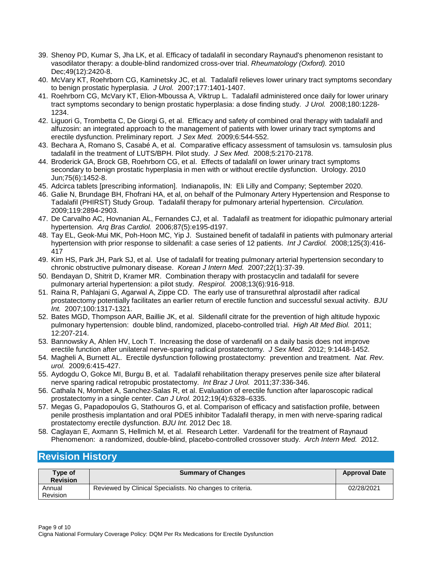- 39. [Shenoy PD,](http://www.ncbi.nlm.nih.gov/pubmed?term=Shenoy%20PD%5BAuthor%5D&cauthor=true&cauthor_uid=20837499) [Kumar S,](http://www.ncbi.nlm.nih.gov/pubmed?term=Kumar%20S%5BAuthor%5D&cauthor=true&cauthor_uid=20837499) [Jha LK,](http://www.ncbi.nlm.nih.gov/pubmed?term=Jha%20LK%5BAuthor%5D&cauthor=true&cauthor_uid=20837499) et al. [Efficacy of tadalafil in secondary Raynaud's phenomenon resistant to](http://www.ncbi.nlm.nih.gov/pubmed/20837499)  vasodilator [therapy: a double-blind randomized cross-over trial.](http://www.ncbi.nlm.nih.gov/pubmed/20837499) *[Rheumatology \(Oxford\).](http://www.ncbi.nlm.nih.gov/pubmed)* 2010 Dec;49(12):2420-8.
- 40. McVary KT, Roehrborn CG, Kaminetsky JC, et al. Tadalafil relieves lower urinary tract symptoms secondary to benign prostatic hyperplasia. *J Urol.* 2007;177:1401-1407.
- 41. Roehrborn CG, McVary KT, Elion-Mboussa A, Viktrup L. Tadalafil administered once daily for lower urinary tract symptoms secondary to benign prostatic hyperplasia: a dose finding study. *J Urol.* 2008;180:1228- 1234.
- 42. Liguori G, Trombetta C, De Giorgi G, et al. Efficacy and safety of combined oral therapy with tadalafil and alfuzosin: an integrated approach to the management of patients with lower urinary tract symptoms and erectile dysfunction. Preliminary report. *J Sex Med.* 2009;6:544-552.
- 43. Bechara A, Romano S, Casabé A, et al. Comparative efficacy assessment of tamsulosin vs. tamsulosin plus tadalafil in the treatment of LUTS/BPH. Pilot study. *J Sex Med.* 2008;5:2170-2178.
- 44. [Broderick GA,](http://www.ncbi.nlm.nih.gov/pubmed?term=%22Broderick%20GA%22%5BAuthor%5D) [Brock GB,](http://www.ncbi.nlm.nih.gov/pubmed?term=%22Brock%20GB%22%5BAuthor%5D) [Roehrborn CG,](http://www.ncbi.nlm.nih.gov/pubmed?term=%22Roehrborn%20CG%22%5BAuthor%5D) et al. Effects of tadalafil on lower urinary tract symptoms secondary to benign prostatic hyperplasia in men with or without erectile dysfunction. Urology. 2010 Jun;75(6):1452-8.
- 45. Adcirca tablets [prescribing information]. Indianapolis, IN: Eli Lilly and Company; September 2020.
- 46. Galie N, Brundage BH, Fhofrani HA, et al, on behalf of the Pulmonary Artery Hypertension and Response to Tadalafil (PHIRST) Study Group. Tadalafil therapy for pulmonary arterial hypertension. *Circulation.*  2009;119:2894-2903.
- 47. De Carvalho AC, Hovnanian AL, Fernandes CJ, et al. Tadalafil as treatment for idiopathic pulmonary arterial hypertension. *Arq Bras Cardiol.* 2006;87(5):e195-d197.
- 48. Tay EL, Geok-Mui MK, Poh-Hoon MC, Yip J. Sustained benefit of tadalafil in patients with pulmonary arterial hypertension with prior response to sildenafil: a case series of 12 patients. *Int J Cardiol.* 2008;125(3):416- 417
- 49. Kim HS, Park JH, Park SJ, et al. Use of tadalafil for treating pulmonary arterial hypertension secondary to chronic obstructive pulmonary disease. *Korean J Intern Med.* 2007;22(1):37-39.
- 50. Bendayan D, Shitrit D, Kramer MR. Combination therapy with prostacyclin and tadalafil for severe pulmonary arterial hypertension: a pilot study. *Respirol.* 2008;13(6):916-918.
- 51. Raina R, Pahlajani G, Agarwal A, Zippe CD. The early use of transurethral alprostadil after radical prostatectomy potentially facilitates an earlier return of erectile function and successful sexual activity. *BJU Int.* 2007;100:1317-1321.
- 52. Bates MGD, Thompson AAR, Baillie JK, et al. Sildenafil citrate for the prevention of high altitude hypoxic pulmonary hypertension: double blind, randomized, placebo-controlled trial. *High Alt Med Biol.* 2011; 12:207-214.
- 53. Bannowsky A, Ahlen HV, Loch T. Increasing the dose of vardenafil on a daily basis does not improve erectile function after unilateral nerve-sparing radical prostatectomy. *J Sex Med.* 2012; 9:1448-1452.
- 54. Magheli A, Burnett AL. Erectile dysfunction following prostatectomy: prevention and treatment. *Nat. Rev. urol.* 2009;6:415-427.
- 55. Aydogdu O, Gokce MI, Burgu B, et al. Tadalafil rehabilitation therapy preserves penile size after bilateral nerve sparing radical retropubic prostatectomy. *Int Braz J Urol.* 2011;37:336-346.
- 56. Cathala N, Mombet A, Sanchez-Salas R, et al. Evaluation of erectile function after laparoscopic radical prostatectomy in a single center. *Can J Urol.* 2012;19(4):6328–6335.
- 57. [Megas G,](http://www.ncbi.nlm.nih.gov/pubmed?term=Megas%20G%5BAuthor%5D&cauthor=true&cauthor_uid=23297507) [Papadopoulos G,](http://www.ncbi.nlm.nih.gov/pubmed?term=Papadopoulos%20G%5BAuthor%5D&cauthor=true&cauthor_uid=23297507) [Stathouros G,](http://www.ncbi.nlm.nih.gov/pubmed?term=Stathouros%20G%5BAuthor%5D&cauthor=true&cauthor_uid=23297507) et al. [Comparison of efficacy and satisfaction profile, between](http://www.ncbi.nlm.nih.gov/pubmed/23253640)  [penile prosthesis implantation and oral PDE5 inhibitor Tadalafil therapy, in men with nerve-sparing radical](http://www.ncbi.nlm.nih.gov/pubmed/23253640)  [prostatectomy erectile dysfunction.](http://www.ncbi.nlm.nih.gov/pubmed/23253640) *[BJU Int.](http://www.ncbi.nlm.nih.gov/pubmed)* 2012 Dec 18.
- 58. Caglayan E, Axmann S, Hellmich M, et al. Research Letter. Vardenafil for the treatment of Raynaud Phenomenon: a randomized, double-blind, placebo-controlled crossover study. *Arch Intern Med.* 2012.

## <span id="page-8-0"></span>**Revision History**

| Type of<br><b>Revision</b> | <b>Summary of Changes</b>                                 | <b>Approval Date</b> |
|----------------------------|-----------------------------------------------------------|----------------------|
| Annual<br>Revision         | Reviewed by Clinical Specialists. No changes to criteria. | 02/28/2021           |